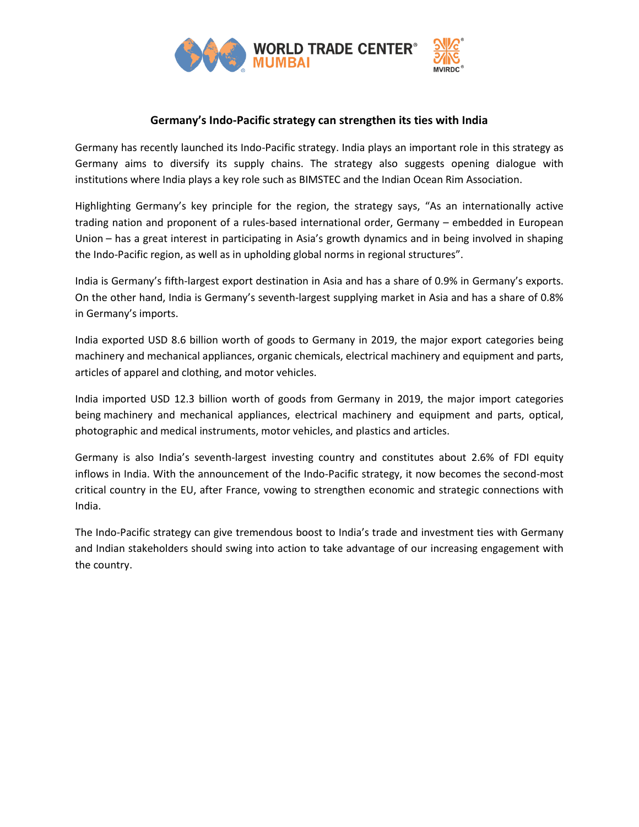

## **Germany's Indo-Pacific strategy can strengthen its ties with India**

Germany has recently launched its Indo-Pacific strategy. India plays an important role in this strategy as Germany aims to diversify its supply chains. The strategy also suggests opening dialogue with institutions where India plays a key role such as BIMSTEC and the Indian Ocean Rim Association.

Highlighting Germany's key principle for the region, the strategy says, "As an internationally active trading nation and proponent of a rules-based international order, Germany – embedded in European Union – has a great interest in participating in Asia's growth dynamics and in being involved in shaping the Indo-Pacific region, as well as in upholding global norms in regional structures".

India is Germany's fifth-largest export destination in Asia and has a share of 0.9% in Germany's exports. On the other hand, India is Germany's seventh-largest supplying market in Asia and has a share of 0.8% in Germany's imports.

India exported USD 8.6 billion worth of goods to Germany in 2019, the major export categories being machinery and mechanical appliances, organic chemicals, electrical machinery and equipment and parts, articles of apparel and clothing, and motor vehicles.

India imported USD 12.3 billion worth of goods from Germany in 2019, the major import categories being machinery and mechanical appliances, electrical machinery and equipment and parts, optical, photographic and medical instruments, motor vehicles, and plastics and articles.

Germany is also India's seventh-largest investing country and constitutes about 2.6% of FDI equity inflows in India. With the announcement of the Indo-Pacific strategy, it now becomes the second-most critical country in the EU, after France, vowing to strengthen economic and strategic connections with India.

The Indo-Pacific strategy can give tremendous boost to India's trade and investment ties with Germany and Indian stakeholders should swing into action to take advantage of our increasing engagement with the country.